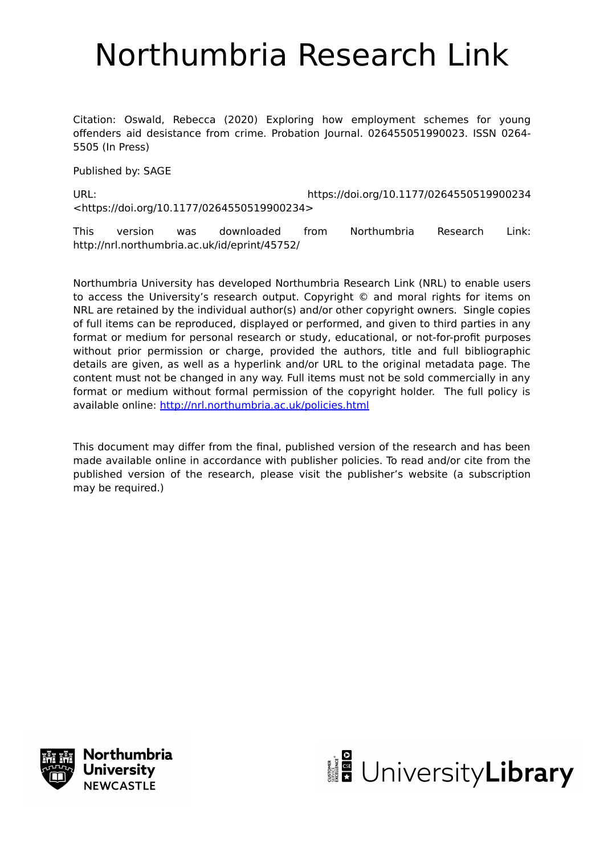# Northumbria Research Link

Citation: Oswald, Rebecca (2020) Exploring how employment schemes for young offenders aid desistance from crime. Probation Journal. 026455051990023. ISSN 0264- 5505 (In Press)

Published by: SAGE

URL: https://doi.org/10.1177/0264550519900234 <https://doi.org/10.1177/0264550519900234>

This version was downloaded from Northumbria Research Link: http://nrl.northumbria.ac.uk/id/eprint/45752/

Northumbria University has developed Northumbria Research Link (NRL) to enable users to access the University's research output. Copyright © and moral rights for items on NRL are retained by the individual author(s) and/or other copyright owners. Single copies of full items can be reproduced, displayed or performed, and given to third parties in any format or medium for personal research or study, educational, or not-for-profit purposes without prior permission or charge, provided the authors, title and full bibliographic details are given, as well as a hyperlink and/or URL to the original metadata page. The content must not be changed in any way. Full items must not be sold commercially in any format or medium without formal permission of the copyright holder. The full policy is available online:<http://nrl.northumbria.ac.uk/policies.html>

This document may differ from the final, published version of the research and has been made available online in accordance with publisher policies. To read and/or cite from the published version of the research, please visit the publisher's website (a subscription may be required.)



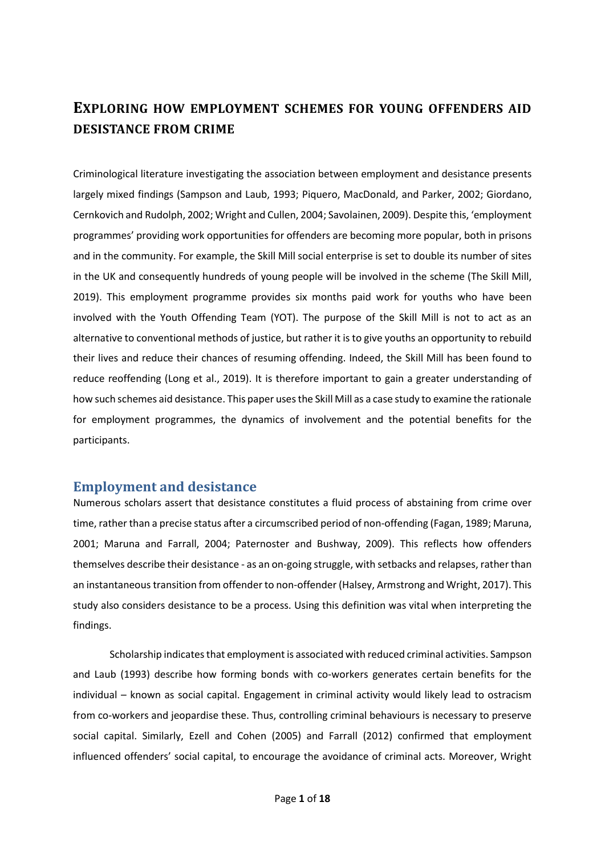## **EXPLORING HOW EMPLOYMENT SCHEMES FOR YOUNG OFFENDERS AID DESISTANCE FROM CRIME**

Criminological literature investigating the association between employment and desistance presents largely mixed findings (Sampson and Laub, 1993; Piquero, MacDonald, and Parker, 2002; Giordano, Cernkovich and Rudolph, 2002; Wright and Cullen, 2004; Savolainen, 2009). Despite this, 'employment programmes' providing work opportunities for offenders are becoming more popular, both in prisons and in the community. For example, the Skill Mill social enterprise is set to double its number of sites in the UK and consequently hundreds of young people will be involved in the scheme (The Skill Mill, 2019). This employment programme provides six months paid work for youths who have been involved with the Youth Offending Team (YOT). The purpose of the Skill Mill is not to act as an alternative to conventional methods of justice, but rather it is to give youths an opportunity to rebuild their lives and reduce their chances of resuming offending. Indeed, the Skill Mill has been found to reduce reoffending (Long et al., 2019). It is therefore important to gain a greater understanding of how such schemes aid desistance. This paper uses the Skill Mill as a case study to examine the rationale for employment programmes, the dynamics of involvement and the potential benefits for the participants.

## **Employment and desistance**

Numerous scholars assert that desistance constitutes a fluid process of abstaining from crime over time, rather than a precise status after a circumscribed period of non-offending (Fagan, 1989; Maruna, 2001; Maruna and Farrall, 2004; Paternoster and Bushway, 2009). This reflects how offenders themselves describe their desistance - as an on-going struggle, with setbacks and relapses, rather than an instantaneous transition from offender to non-offender (Halsey, Armstrong and Wright, 2017). This study also considers desistance to be a process. Using this definition was vital when interpreting the findings.

Scholarship indicates that employment is associated with reduced criminal activities. Sampson and Laub (1993) describe how forming bonds with co-workers generates certain benefits for the individual – known as social capital. Engagement in criminal activity would likely lead to ostracism from co-workers and jeopardise these. Thus, controlling criminal behaviours is necessary to preserve social capital. Similarly, Ezell and Cohen (2005) and Farrall (2012) confirmed that employment influenced offenders' social capital, to encourage the avoidance of criminal acts. Moreover, Wright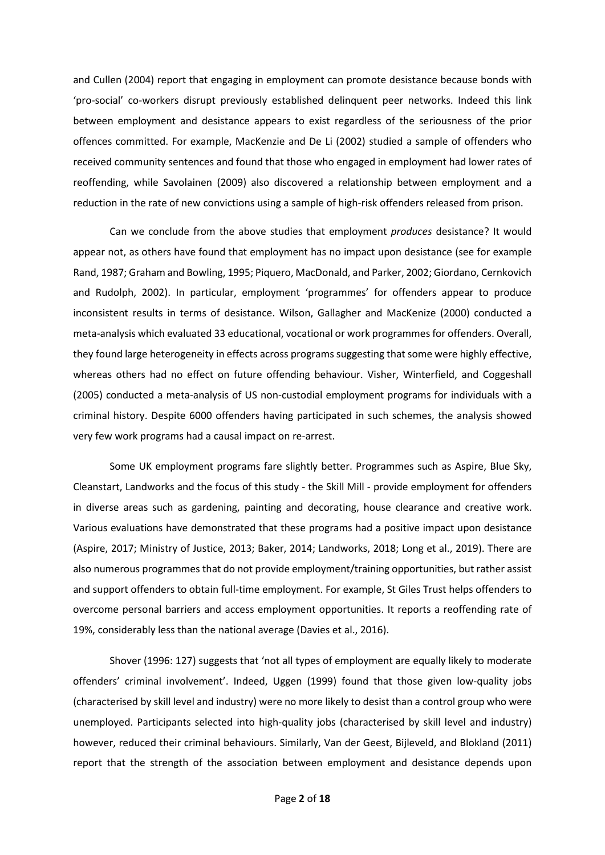and Cullen (2004) report that engaging in employment can promote desistance because bonds with 'pro-social' co-workers disrupt previously established delinquent peer networks. Indeed this link between employment and desistance appears to exist regardless of the seriousness of the prior offences committed. For example, MacKenzie and De Li (2002) studied a sample of offenders who received community sentences and found that those who engaged in employment had lower rates of reoffending, while Savolainen (2009) also discovered a relationship between employment and a reduction in the rate of new convictions using a sample of high-risk offenders released from prison.

Can we conclude from the above studies that employment *produces* desistance? It would appear not, as others have found that employment has no impact upon desistance (see for example Rand, 1987; Graham and Bowling, 1995; Piquero, MacDonald, and Parker, 2002; Giordano, Cernkovich and Rudolph, 2002). In particular, employment 'programmes' for offenders appear to produce inconsistent results in terms of desistance. Wilson, Gallagher and MacKenize (2000) conducted a meta-analysis which evaluated 33 educational, vocational or work programmes for offenders. Overall, they found large heterogeneity in effects across programs suggesting that some were highly effective, whereas others had no effect on future offending behaviour. Visher, Winterfield, and Coggeshall (2005) conducted a meta-analysis of US non-custodial employment programs for individuals with a criminal history. Despite 6000 offenders having participated in such schemes, the analysis showed very few work programs had a causal impact on re-arrest.

Some UK employment programs fare slightly better. Programmes such as Aspire, Blue Sky, Cleanstart, Landworks and the focus of this study - the Skill Mill - provide employment for offenders in diverse areas such as gardening, painting and decorating, house clearance and creative work. Various evaluations have demonstrated that these programs had a positive impact upon desistance (Aspire, 2017; Ministry of Justice, 2013; Baker, 2014; Landworks, 2018; Long et al., 2019). There are also numerous programmes that do not provide employment/training opportunities, but rather assist and support offenders to obtain full-time employment. For example, St Giles Trust helps offenders to overcome personal barriers and access employment opportunities. It reports a reoffending rate of 19%, considerably less than the national average (Davies et al., 2016).

Shover (1996: 127) suggests that 'not all types of employment are equally likely to moderate offenders' criminal involvement'. Indeed, Uggen (1999) found that those given low-quality jobs (characterised by skill level and industry) were no more likely to desist than a control group who were unemployed. Participants selected into high-quality jobs (characterised by skill level and industry) however, reduced their criminal behaviours. Similarly, Van der Geest, Bijleveld, and Blokland (2011) report that the strength of the association between employment and desistance depends upon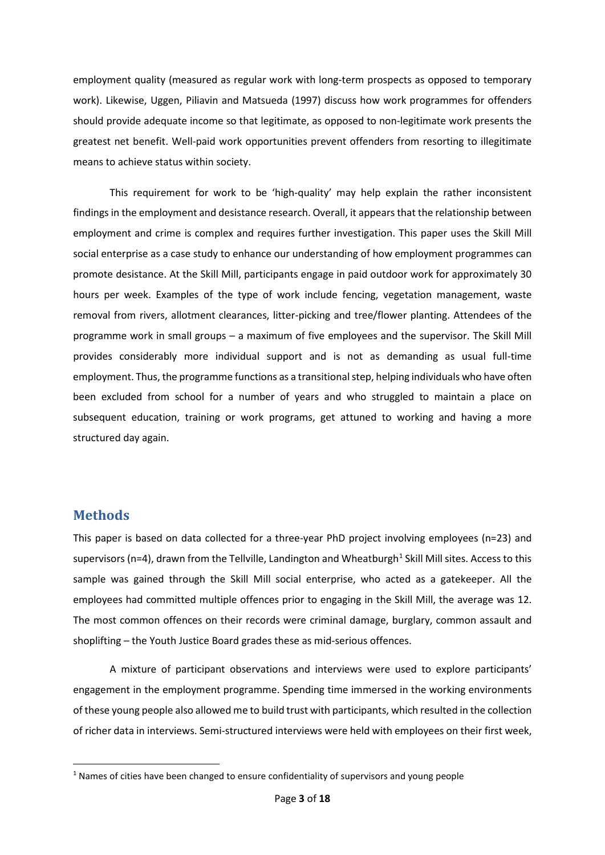employment quality (measured as regular work with long-term prospects as opposed to temporary work). Likewise, Uggen, Piliavin and Matsueda (1997) discuss how work programmes for offenders should provide adequate income so that legitimate, as opposed to non-legitimate work presents the greatest net benefit. Well-paid work opportunities prevent offenders from resorting to illegitimate means to achieve status within society.

This requirement for work to be 'high-quality' may help explain the rather inconsistent findings in the employment and desistance research. Overall, it appears that the relationship between employment and crime is complex and requires further investigation. This paper uses the Skill Mill social enterprise as a case study to enhance our understanding of how employment programmes can promote desistance. At the Skill Mill, participants engage in paid outdoor work for approximately 30 hours per week. Examples of the type of work include fencing, vegetation management, waste removal from rivers, allotment clearances, litter-picking and tree/flower planting. Attendees of the programme work in small groups – a maximum of five employees and the supervisor. The Skill Mill provides considerably more individual support and is not as demanding as usual full-time employment. Thus, the programme functions as a transitional step, helping individuals who have often been excluded from school for a number of years and who struggled to maintain a place on subsequent education, training or work programs, get attuned to working and having a more structured day again.

## **Methods**

This paper is based on data collected for a three-year PhD project involving employees (n=23) and supervisors (n=4), drawn from the Tellville, Landington and Wheatburgh<sup>[1](#page-3-0)</sup> Skill Mill sites. Access to this sample was gained through the Skill Mill social enterprise, who acted as a gatekeeper. All the employees had committed multiple offences prior to engaging in the Skill Mill, the average was 12. The most common offences on their records were criminal damage, burglary, common assault and shoplifting – the Youth Justice Board grades these as mid-serious offences.

A mixture of participant observations and interviews were used to explore participants' engagement in the employment programme. Spending time immersed in the working environments of these young people also allowed me to build trust with participants, which resulted in the collection of richer data in interviews. Semi-structured interviews were held with employees on their first week,

<span id="page-3-0"></span> $1$  Names of cities have been changed to ensure confidentiality of supervisors and young people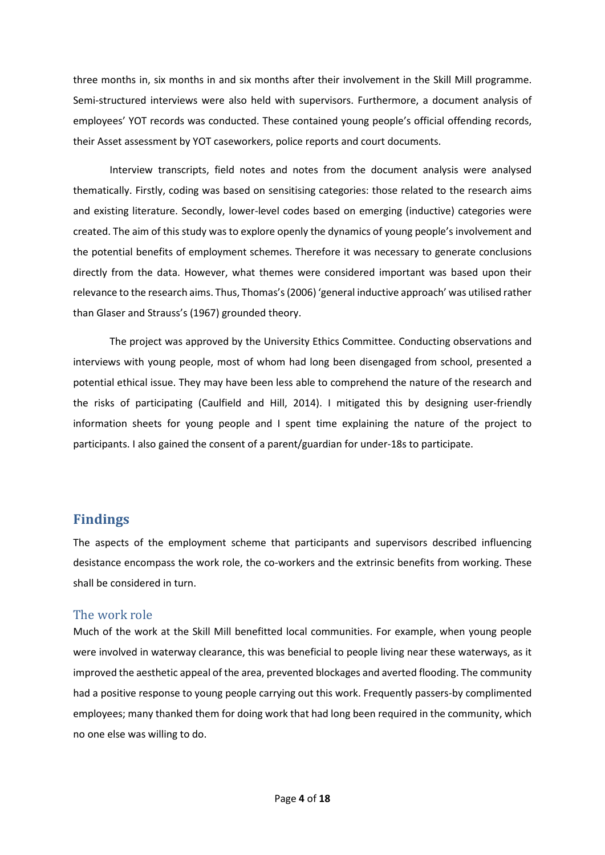three months in, six months in and six months after their involvement in the Skill Mill programme. Semi-structured interviews were also held with supervisors. Furthermore, a document analysis of employees' YOT records was conducted. These contained young people's official offending records, their Asset assessment by YOT caseworkers, police reports and court documents.

Interview transcripts, field notes and notes from the document analysis were analysed thematically. Firstly, coding was based on sensitising categories: those related to the research aims and existing literature. Secondly, lower-level codes based on emerging (inductive) categories were created. The aim of this study was to explore openly the dynamics of young people's involvement and the potential benefits of employment schemes. Therefore it was necessary to generate conclusions directly from the data. However, what themes were considered important was based upon their relevance to the research aims. Thus, Thomas's (2006) 'general inductive approach' was utilised rather than Glaser and Strauss's (1967) grounded theory.

The project was approved by the University Ethics Committee. Conducting observations and interviews with young people, most of whom had long been disengaged from school, presented a potential ethical issue. They may have been less able to comprehend the nature of the research and the risks of participating (Caulfield and Hill, 2014). I mitigated this by designing user-friendly information sheets for young people and I spent time explaining the nature of the project to participants. I also gained the consent of a parent/guardian for under-18s to participate.

## **Findings**

The aspects of the employment scheme that participants and supervisors described influencing desistance encompass the work role, the co-workers and the extrinsic benefits from working. These shall be considered in turn.

#### The work role

Much of the work at the Skill Mill benefitted local communities. For example, when young people were involved in waterway clearance, this was beneficial to people living near these waterways, as it improved the aesthetic appeal of the area, prevented blockages and averted flooding. The community had a positive response to young people carrying out this work. Frequently passers-by complimented employees; many thanked them for doing work that had long been required in the community, which no one else was willing to do.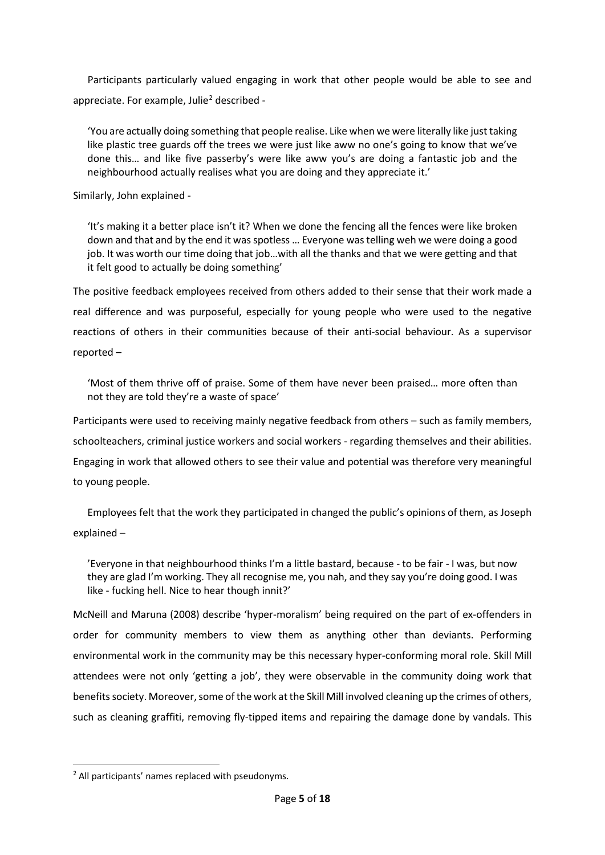Participants particularly valued engaging in work that other people would be able to see and appreciate. For example, Julie<sup>[2](#page-5-0)</sup> described -

'You are actually doing something that people realise. Like when we were literally like just taking like plastic tree guards off the trees we were just like aww no one's going to know that we've done this… and like five passerby's were like aww you's are doing a fantastic job and the neighbourhood actually realises what you are doing and they appreciate it.'

Similarly, John explained -

'It's making it a better place isn't it? When we done the fencing all the fences were like broken down and that and by the end it was spotless … Everyone was telling weh we were doing a good job. It was worth our time doing that job…with all the thanks and that we were getting and that it felt good to actually be doing something'

The positive feedback employees received from others added to their sense that their work made a real difference and was purposeful, especially for young people who were used to the negative reactions of others in their communities because of their anti-social behaviour. As a supervisor reported –

'Most of them thrive off of praise. Some of them have never been praised… more often than not they are told they're a waste of space'

Participants were used to receiving mainly negative feedback from others – such as family members, schoolteachers, criminal justice workers and social workers - regarding themselves and their abilities. Engaging in work that allowed others to see their value and potential was therefore very meaningful to young people.

Employees felt that the work they participated in changed the public's opinions of them, as Joseph explained –

'Everyone in that neighbourhood thinks I'm a little bastard, because - to be fair - I was, but now they are glad I'm working. They all recognise me, you nah, and they say you're doing good. I was like - fucking hell. Nice to hear though innit?'

McNeill and Maruna (2008) describe 'hyper-moralism' being required on the part of ex-offenders in order for community members to view them as anything other than deviants. Performing environmental work in the community may be this necessary hyper-conforming moral role. Skill Mill attendees were not only 'getting a job', they were observable in the community doing work that benefits society. Moreover, some of the work at the Skill Mill involved cleaning up the crimes of others, such as cleaning graffiti, removing fly-tipped items and repairing the damage done by vandals. This

<span id="page-5-0"></span><sup>2</sup> All participants' names replaced with pseudonyms.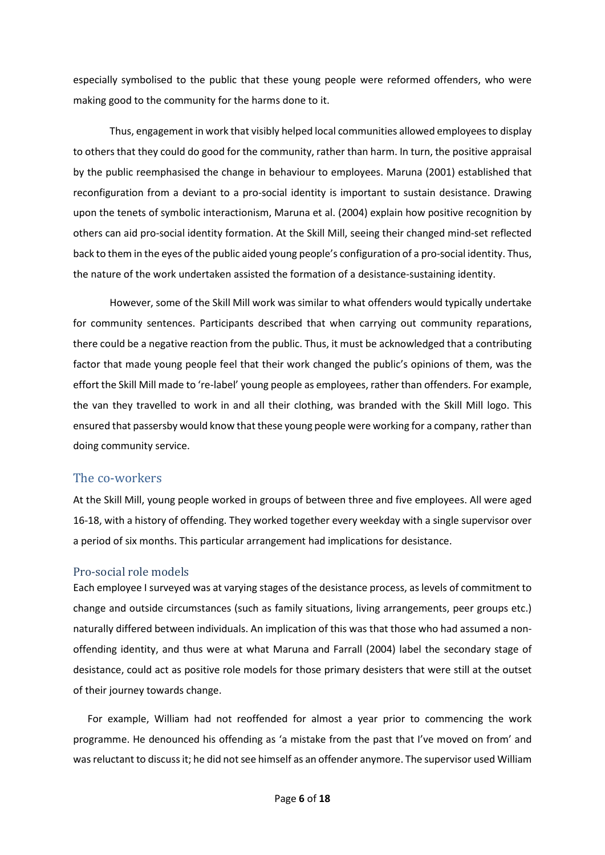especially symbolised to the public that these young people were reformed offenders, who were making good to the community for the harms done to it.

Thus, engagement in work that visibly helped local communities allowed employeesto display to others that they could do good for the community, rather than harm. In turn, the positive appraisal by the public reemphasised the change in behaviour to employees. Maruna (2001) established that reconfiguration from a deviant to a pro-social identity is important to sustain desistance. Drawing upon the tenets of symbolic interactionism, Maruna et al. (2004) explain how positive recognition by others can aid pro-social identity formation. At the Skill Mill, seeing their changed mind-set reflected back to them in the eyes of the public aided young people's configuration of a pro-social identity. Thus, the nature of the work undertaken assisted the formation of a desistance-sustaining identity.

However, some of the Skill Mill work was similar to what offenders would typically undertake for community sentences. Participants described that when carrying out community reparations, there could be a negative reaction from the public. Thus, it must be acknowledged that a contributing factor that made young people feel that their work changed the public's opinions of them, was the effort the Skill Mill made to 're-label' young people as employees, rather than offenders. For example, the van they travelled to work in and all their clothing, was branded with the Skill Mill logo. This ensured that passersby would know that these young people were working for a company, rather than doing community service.

#### The co-workers

At the Skill Mill, young people worked in groups of between three and five employees. All were aged 16-18, with a history of offending. They worked together every weekday with a single supervisor over a period of six months. This particular arrangement had implications for desistance.

#### Pro-social role models

Each employee I surveyed was at varying stages of the desistance process, as levels of commitment to change and outside circumstances (such as family situations, living arrangements, peer groups etc.) naturally differed between individuals. An implication of this was that those who had assumed a nonoffending identity, and thus were at what Maruna and Farrall (2004) label the secondary stage of desistance, could act as positive role models for those primary desisters that were still at the outset of their journey towards change.

For example, William had not reoffended for almost a year prior to commencing the work programme. He denounced his offending as 'a mistake from the past that I've moved on from' and was reluctant to discuss it; he did not see himself as an offender anymore. The supervisor used William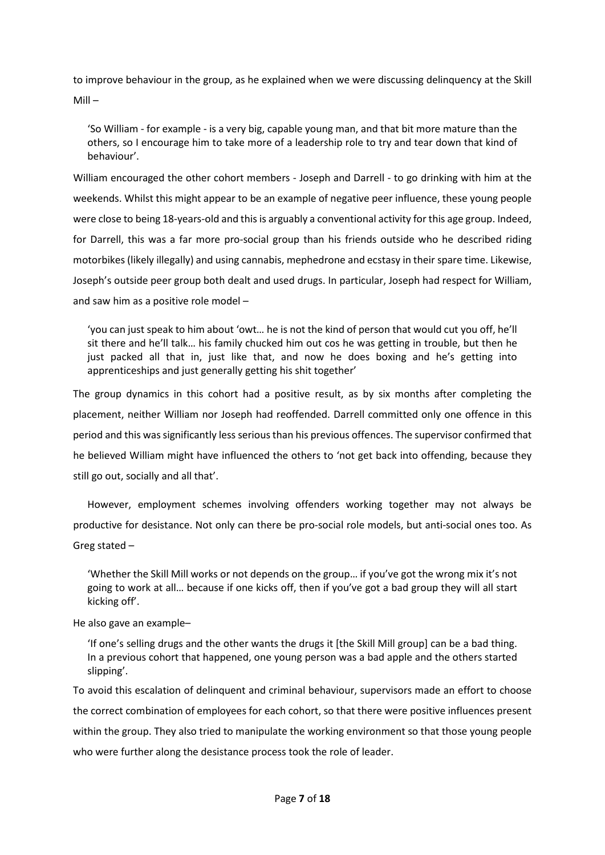to improve behaviour in the group, as he explained when we were discussing delinquency at the Skill Mill –

'So William - for example - is a very big, capable young man, and that bit more mature than the others, so I encourage him to take more of a leadership role to try and tear down that kind of behaviour'.

William encouraged the other cohort members - Joseph and Darrell - to go drinking with him at the weekends. Whilst this might appear to be an example of negative peer influence, these young people were close to being 18-years-old and this is arguably a conventional activity for this age group. Indeed, for Darrell, this was a far more pro-social group than his friends outside who he described riding motorbikes (likely illegally) and using cannabis, mephedrone and ecstasy in their spare time. Likewise, Joseph's outside peer group both dealt and used drugs. In particular, Joseph had respect for William, and saw him as a positive role model –

'you can just speak to him about 'owt… he is not the kind of person that would cut you off, he'll sit there and he'll talk… his family chucked him out cos he was getting in trouble, but then he just packed all that in, just like that, and now he does boxing and he's getting into apprenticeships and just generally getting his shit together'

The group dynamics in this cohort had a positive result, as by six months after completing the placement, neither William nor Joseph had reoffended. Darrell committed only one offence in this period and this was significantly less serious than his previous offences. The supervisor confirmed that he believed William might have influenced the others to 'not get back into offending, because they still go out, socially and all that'.

However, employment schemes involving offenders working together may not always be productive for desistance. Not only can there be pro-social role models, but anti-social ones too. As Greg stated –

'Whether the Skill Mill works or not depends on the group… if you've got the wrong mix it's not going to work at all… because if one kicks off, then if you've got a bad group they will all start kicking off'.

He also gave an example–

'If one's selling drugs and the other wants the drugs it [the Skill Mill group] can be a bad thing. In a previous cohort that happened, one young person was a bad apple and the others started slipping'.

To avoid this escalation of delinquent and criminal behaviour, supervisors made an effort to choose the correct combination of employees for each cohort, so that there were positive influences present within the group. They also tried to manipulate the working environment so that those young people who were further along the desistance process took the role of leader.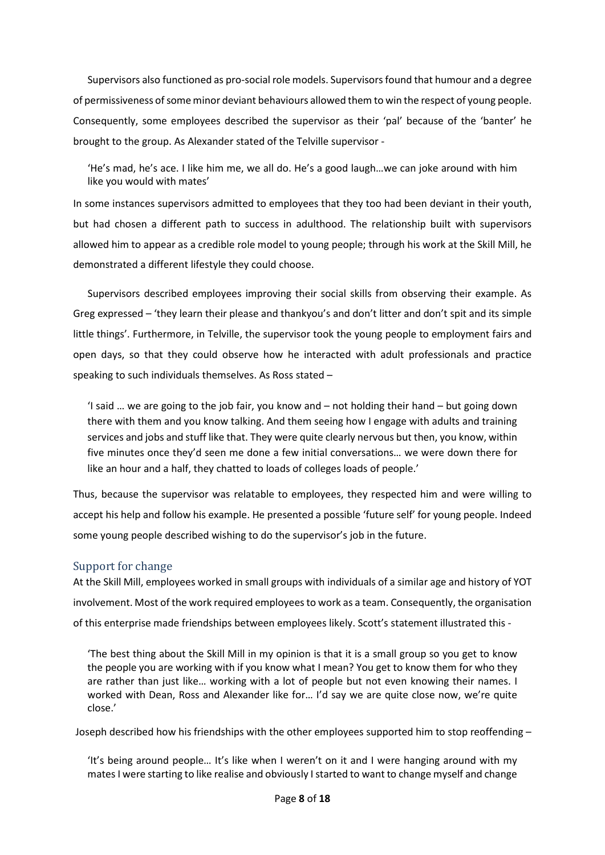Supervisors also functioned as pro-social role models. Supervisors found that humour and a degree of permissiveness of some minor deviant behaviours allowed them to win the respect of young people. Consequently, some employees described the supervisor as their 'pal' because of the 'banter' he brought to the group. As Alexander stated of the Telville supervisor -

'He's mad, he's ace. I like him me, we all do. He's a good laugh…we can joke around with him like you would with mates'

In some instances supervisors admitted to employees that they too had been deviant in their youth, but had chosen a different path to success in adulthood. The relationship built with supervisors allowed him to appear as a credible role model to young people; through his work at the Skill Mill, he demonstrated a different lifestyle they could choose.

Supervisors described employees improving their social skills from observing their example. As Greg expressed – 'they learn their please and thankyou's and don't litter and don't spit and its simple little things'. Furthermore, in Telville, the supervisor took the young people to employment fairs and open days, so that they could observe how he interacted with adult professionals and practice speaking to such individuals themselves. As Ross stated –

'I said … we are going to the job fair, you know and – not holding their hand – but going down there with them and you know talking. And them seeing how I engage with adults and training services and jobs and stuff like that. They were quite clearly nervous but then, you know, within five minutes once they'd seen me done a few initial conversations… we were down there for like an hour and a half, they chatted to loads of colleges loads of people.'

Thus, because the supervisor was relatable to employees, they respected him and were willing to accept his help and follow his example. He presented a possible 'future self' for young people. Indeed some young people described wishing to do the supervisor's job in the future.

## Support for change

At the Skill Mill, employees worked in small groups with individuals of a similar age and history of YOT involvement. Most of the work required employees to work as a team. Consequently, the organisation of this enterprise made friendships between employees likely. Scott's statement illustrated this -

'The best thing about the Skill Mill in my opinion is that it is a small group so you get to know the people you are working with if you know what I mean? You get to know them for who they are rather than just like… working with a lot of people but not even knowing their names. I worked with Dean, Ross and Alexander like for… I'd say we are quite close now, we're quite close.'

Joseph described how his friendships with the other employees supported him to stop reoffending –

'It's being around people… It's like when I weren't on it and I were hanging around with my mates I were starting to like realise and obviously I started to want to change myself and change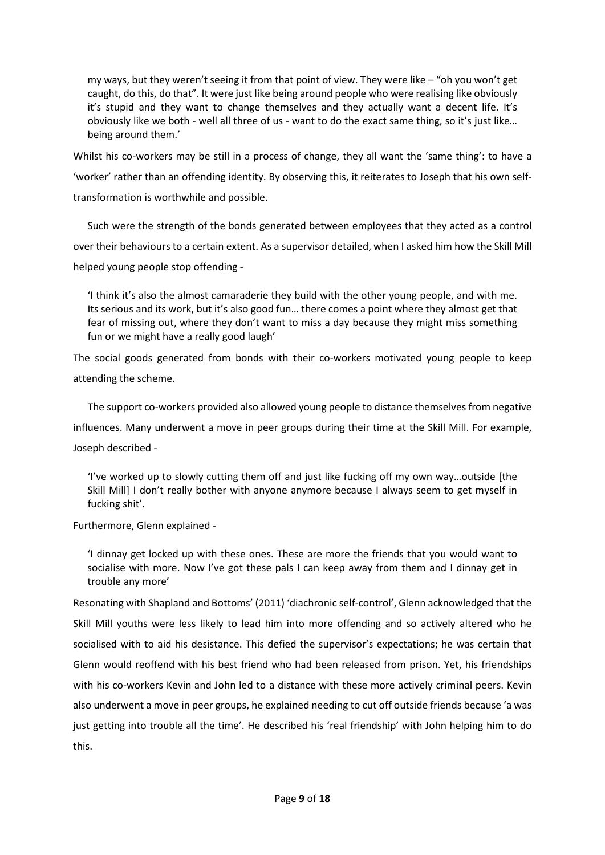my ways, but they weren't seeing it from that point of view. They were like – "oh you won't get caught, do this, do that". It were just like being around people who were realising like obviously it's stupid and they want to change themselves and they actually want a decent life. It's obviously like we both - well all three of us - want to do the exact same thing, so it's just like… being around them.'

Whilst his co-workers may be still in a process of change, they all want the 'same thing': to have a 'worker' rather than an offending identity. By observing this, it reiterates to Joseph that his own selftransformation is worthwhile and possible.

Such were the strength of the bonds generated between employees that they acted as a control over their behaviours to a certain extent. As a supervisor detailed, when I asked him how the Skill Mill helped young people stop offending -

'I think it's also the almost camaraderie they build with the other young people, and with me. Its serious and its work, but it's also good fun… there comes a point where they almost get that fear of missing out, where they don't want to miss a day because they might miss something fun or we might have a really good laugh'

The social goods generated from bonds with their co-workers motivated young people to keep attending the scheme.

The support co-workers provided also allowed young people to distance themselves from negative influences. Many underwent a move in peer groups during their time at the Skill Mill. For example, Joseph described -

'I've worked up to slowly cutting them off and just like fucking off my own way…outside [the Skill Mill] I don't really bother with anyone anymore because I always seem to get myself in fucking shit'.

Furthermore, Glenn explained -

'I dinnay get locked up with these ones. These are more the friends that you would want to socialise with more. Now I've got these pals I can keep away from them and I dinnay get in trouble any more'

Resonating with Shapland and Bottoms' (2011) 'diachronic self-control', Glenn acknowledged that the Skill Mill youths were less likely to lead him into more offending and so actively altered who he socialised with to aid his desistance. This defied the supervisor's expectations; he was certain that Glenn would reoffend with his best friend who had been released from prison. Yet, his friendships with his co-workers Kevin and John led to a distance with these more actively criminal peers. Kevin also underwent a move in peer groups, he explained needing to cut off outside friends because 'a was just getting into trouble all the time'. He described his 'real friendship' with John helping him to do this.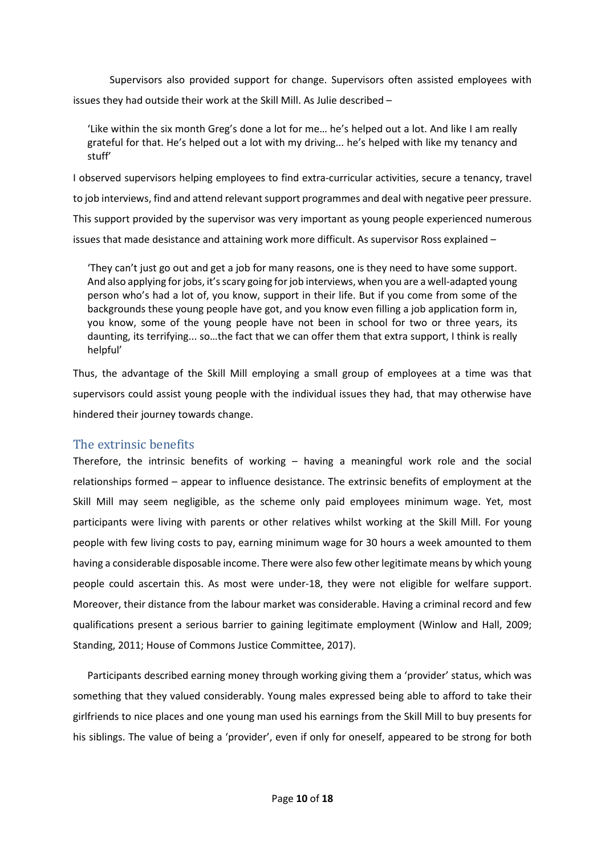Supervisors also provided support for change. Supervisors often assisted employees with issues they had outside their work at the Skill Mill. As Julie described –

'Like within the six month Greg's done a lot for me… he's helped out a lot. And like I am really grateful for that. He's helped out a lot with my driving... he's helped with like my tenancy and stuff'

I observed supervisors helping employees to find extra-curricular activities, secure a tenancy, travel to job interviews, find and attend relevant support programmes and deal with negative peer pressure. This support provided by the supervisor was very important as young people experienced numerous issues that made desistance and attaining work more difficult. As supervisor Ross explained –

'They can't just go out and get a job for many reasons, one is they need to have some support. And also applying for jobs, it's scary going for job interviews, when you are a well-adapted young person who's had a lot of, you know, support in their life. But if you come from some of the backgrounds these young people have got, and you know even filling a job application form in, you know, some of the young people have not been in school for two or three years, its daunting, its terrifying... so…the fact that we can offer them that extra support, I think is really helpful'

Thus, the advantage of the Skill Mill employing a small group of employees at a time was that supervisors could assist young people with the individual issues they had, that may otherwise have hindered their journey towards change.

## The extrinsic benefits

Therefore, the intrinsic benefits of working – having a meaningful work role and the social relationships formed – appear to influence desistance. The extrinsic benefits of employment at the Skill Mill may seem negligible, as the scheme only paid employees minimum wage. Yet, most participants were living with parents or other relatives whilst working at the Skill Mill. For young people with few living costs to pay, earning minimum wage for 30 hours a week amounted to them having a considerable disposable income. There were also few other legitimate means by which young people could ascertain this. As most were under-18, they were not eligible for welfare support. Moreover, their distance from the labour market was considerable. Having a criminal record and few qualifications present a serious barrier to gaining legitimate employment (Winlow and Hall, 2009; Standing, 2011; House of Commons Justice Committee, 2017).

Participants described earning money through working giving them a 'provider' status, which was something that they valued considerably. Young males expressed being able to afford to take their girlfriends to nice places and one young man used his earnings from the Skill Mill to buy presents for his siblings. The value of being a 'provider', even if only for oneself, appeared to be strong for both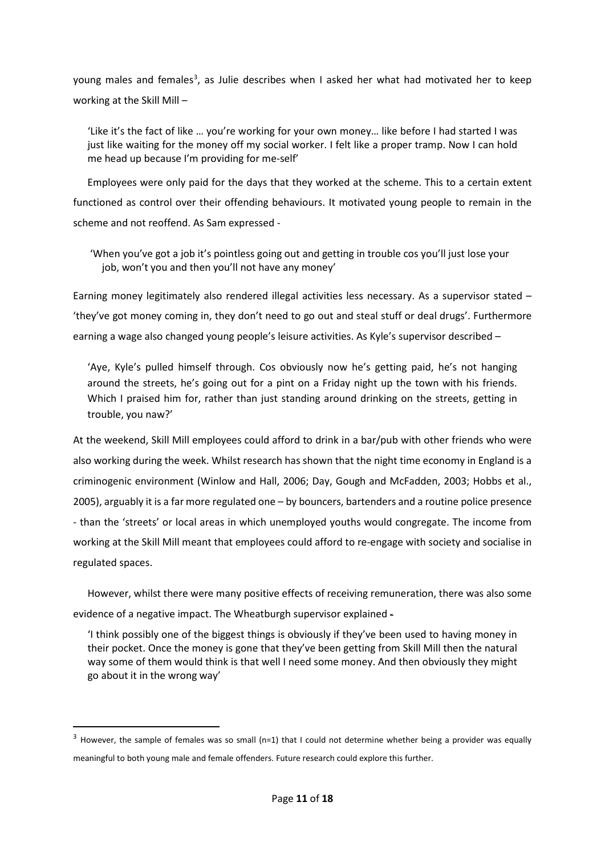young males and females<sup>[3](#page-11-0)</sup>, as Julie describes when I asked her what had motivated her to keep working at the Skill Mill –

'Like it's the fact of like … you're working for your own money… like before I had started I was just like waiting for the money off my social worker. I felt like a proper tramp. Now I can hold me head up because I'm providing for me-self'

Employees were only paid for the days that they worked at the scheme. This to a certain extent functioned as control over their offending behaviours. It motivated young people to remain in the scheme and not reoffend. As Sam expressed -

'When you've got a job it's pointless going out and getting in trouble cos you'll just lose your job, won't you and then you'll not have any money'

Earning money legitimately also rendered illegal activities less necessary. As a supervisor stated – 'they've got money coming in, they don't need to go out and steal stuff or deal drugs'. Furthermore earning a wage also changed young people's leisure activities. As Kyle's supervisor described –

'Aye, Kyle's pulled himself through. Cos obviously now he's getting paid, he's not hanging around the streets, he's going out for a pint on a Friday night up the town with his friends. Which I praised him for, rather than just standing around drinking on the streets, getting in trouble, you naw?'

At the weekend, Skill Mill employees could afford to drink in a bar/pub with other friends who were also working during the week. Whilst research has shown that the night time economy in England is a criminogenic environment (Winlow and Hall, 2006; Day, Gough and McFadden, 2003; Hobbs et al., 2005), arguably it is a far more regulated one – by bouncers, bartenders and a routine police presence - than the 'streets' or local areas in which unemployed youths would congregate. The income from working at the Skill Mill meant that employees could afford to re-engage with society and socialise in regulated spaces.

However, whilst there were many positive effects of receiving remuneration, there was also some evidence of a negative impact. The Wheatburgh supervisor explained -

'I think possibly one of the biggest things is obviously if they've been used to having money in their pocket. Once the money is gone that they've been getting from Skill Mill then the natural way some of them would think is that well I need some money. And then obviously they might go about it in the wrong way'

<span id="page-11-0"></span> $3$  However, the sample of females was so small (n=1) that I could not determine whether being a provider was equally meaningful to both young male and female offenders. Future research could explore this further.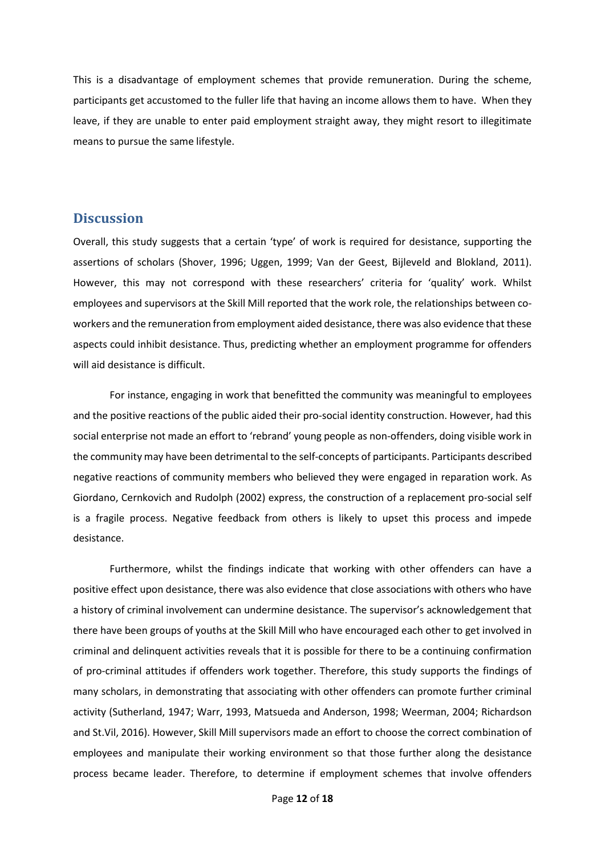This is a disadvantage of employment schemes that provide remuneration. During the scheme, participants get accustomed to the fuller life that having an income allows them to have. When they leave, if they are unable to enter paid employment straight away, they might resort to illegitimate means to pursue the same lifestyle.

## **Discussion**

Overall, this study suggests that a certain 'type' of work is required for desistance, supporting the assertions of scholars (Shover, 1996; Uggen, 1999; Van der Geest, Bijleveld and Blokland, 2011). However, this may not correspond with these researchers' criteria for 'quality' work. Whilst employees and supervisors at the Skill Mill reported that the work role, the relationships between coworkers and the remuneration from employment aided desistance, there was also evidence that these aspects could inhibit desistance. Thus, predicting whether an employment programme for offenders will aid desistance is difficult.

For instance, engaging in work that benefitted the community was meaningful to employees and the positive reactions of the public aided their pro-social identity construction. However, had this social enterprise not made an effort to 'rebrand' young people as non-offenders, doing visible work in the community may have been detrimental to the self-concepts of participants. Participants described negative reactions of community members who believed they were engaged in reparation work. As Giordano, Cernkovich and Rudolph (2002) express, the construction of a replacement pro-social self is a fragile process. Negative feedback from others is likely to upset this process and impede desistance.

Furthermore, whilst the findings indicate that working with other offenders can have a positive effect upon desistance, there was also evidence that close associations with others who have a history of criminal involvement can undermine desistance. The supervisor's acknowledgement that there have been groups of youths at the Skill Mill who have encouraged each other to get involved in criminal and delinquent activities reveals that it is possible for there to be a continuing confirmation of pro-criminal attitudes if offenders work together. Therefore, this study supports the findings of many scholars, in demonstrating that associating with other offenders can promote further criminal activity (Sutherland, 1947; Warr, 1993, Matsueda and Anderson, 1998; Weerman, 2004; Richardson and St.Vil, 2016). However, Skill Mill supervisors made an effort to choose the correct combination of employees and manipulate their working environment so that those further along the desistance process became leader. Therefore, to determine if employment schemes that involve offenders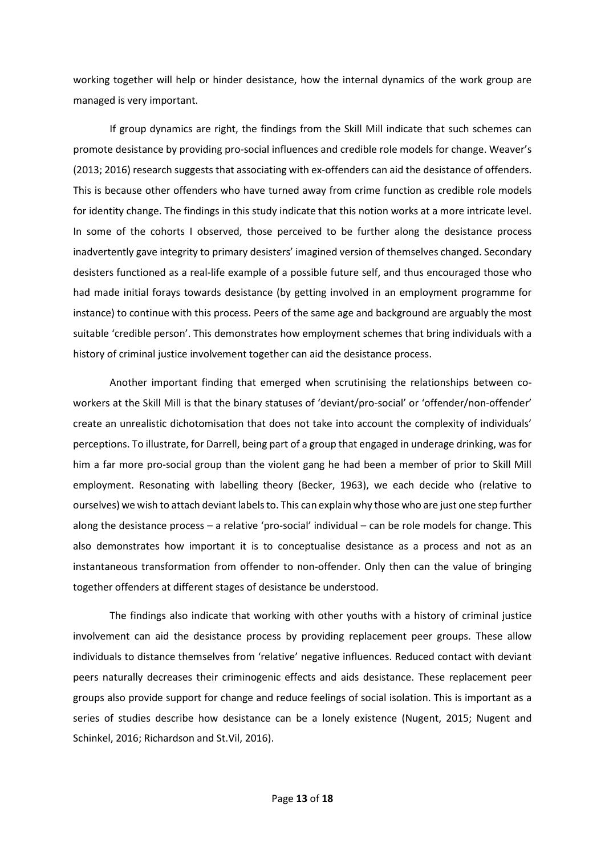working together will help or hinder desistance, how the internal dynamics of the work group are managed is very important.

If group dynamics are right, the findings from the Skill Mill indicate that such schemes can promote desistance by providing pro-social influences and credible role models for change. Weaver's (2013; 2016) research suggests that associating with ex-offenders can aid the desistance of offenders. This is because other offenders who have turned away from crime function as credible role models for identity change. The findings in this study indicate that this notion works at a more intricate level. In some of the cohorts I observed, those perceived to be further along the desistance process inadvertently gave integrity to primary desisters' imagined version of themselves changed. Secondary desisters functioned as a real-life example of a possible future self, and thus encouraged those who had made initial forays towards desistance (by getting involved in an employment programme for instance) to continue with this process. Peers of the same age and background are arguably the most suitable 'credible person'. This demonstrates how employment schemes that bring individuals with a history of criminal justice involvement together can aid the desistance process.

Another important finding that emerged when scrutinising the relationships between coworkers at the Skill Mill is that the binary statuses of 'deviant/pro-social' or 'offender/non-offender' create an unrealistic dichotomisation that does not take into account the complexity of individuals' perceptions. To illustrate, for Darrell, being part of a group that engaged in underage drinking, was for him a far more pro-social group than the violent gang he had been a member of prior to Skill Mill employment. Resonating with labelling theory (Becker, 1963), we each decide who (relative to ourselves) we wish to attach deviant labels to. This can explain why those who are just one step further along the desistance process – a relative 'pro-social' individual – can be role models for change. This also demonstrates how important it is to conceptualise desistance as a process and not as an instantaneous transformation from offender to non-offender. Only then can the value of bringing together offenders at different stages of desistance be understood.

The findings also indicate that working with other youths with a history of criminal justice involvement can aid the desistance process by providing replacement peer groups. These allow individuals to distance themselves from 'relative' negative influences. Reduced contact with deviant peers naturally decreases their criminogenic effects and aids desistance. These replacement peer groups also provide support for change and reduce feelings of social isolation. This is important as a series of studies describe how desistance can be a lonely existence (Nugent, 2015; Nugent and Schinkel, 2016; Richardson and St.Vil, 2016).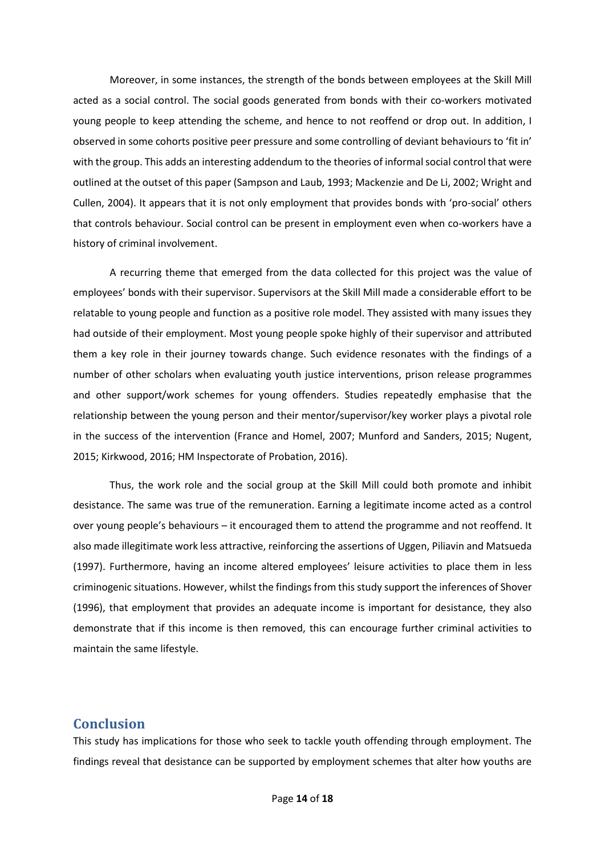Moreover, in some instances, the strength of the bonds between employees at the Skill Mill acted as a social control. The social goods generated from bonds with their co-workers motivated young people to keep attending the scheme, and hence to not reoffend or drop out. In addition, I observed in some cohorts positive peer pressure and some controlling of deviant behaviours to 'fit in' with the group. This adds an interesting addendum to the theories of informal social control that were outlined at the outset of this paper (Sampson and Laub, 1993; Mackenzie and De Li, 2002; Wright and Cullen, 2004). It appears that it is not only employment that provides bonds with 'pro-social' others that controls behaviour. Social control can be present in employment even when co-workers have a history of criminal involvement.

A recurring theme that emerged from the data collected for this project was the value of employees' bonds with their supervisor. Supervisors at the Skill Mill made a considerable effort to be relatable to young people and function as a positive role model. They assisted with many issues they had outside of their employment. Most young people spoke highly of their supervisor and attributed them a key role in their journey towards change. Such evidence resonates with the findings of a number of other scholars when evaluating youth justice interventions, prison release programmes and other support/work schemes for young offenders. Studies repeatedly emphasise that the relationship between the young person and their mentor/supervisor/key worker plays a pivotal role in the success of the intervention (France and Homel, 2007; Munford and Sanders, 2015; Nugent, 2015; Kirkwood, 2016; HM Inspectorate of Probation, 2016).

Thus, the work role and the social group at the Skill Mill could both promote and inhibit desistance. The same was true of the remuneration. Earning a legitimate income acted as a control over young people's behaviours – it encouraged them to attend the programme and not reoffend. It also made illegitimate work less attractive, reinforcing the assertions of Uggen, Piliavin and Matsueda (1997). Furthermore, having an income altered employees' leisure activities to place them in less criminogenic situations. However, whilst the findings from this study support the inferences of Shover (1996), that employment that provides an adequate income is important for desistance, they also demonstrate that if this income is then removed, this can encourage further criminal activities to maintain the same lifestyle.

## **Conclusion**

This study has implications for those who seek to tackle youth offending through employment. The findings reveal that desistance can be supported by employment schemes that alter how youths are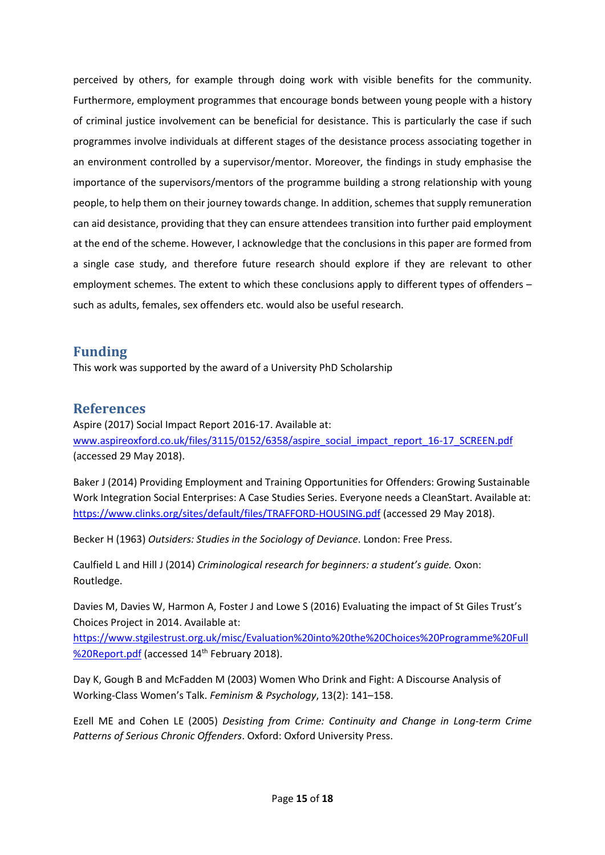perceived by others, for example through doing work with visible benefits for the community. Furthermore, employment programmes that encourage bonds between young people with a history of criminal justice involvement can be beneficial for desistance. This is particularly the case if such programmes involve individuals at different stages of the desistance process associating together in an environment controlled by a supervisor/mentor. Moreover, the findings in study emphasise the importance of the supervisors/mentors of the programme building a strong relationship with young people, to help them on their journey towards change. In addition, schemes that supply remuneration can aid desistance, providing that they can ensure attendees transition into further paid employment at the end of the scheme. However, I acknowledge that the conclusions in this paper are formed from a single case study, and therefore future research should explore if they are relevant to other employment schemes. The extent to which these conclusions apply to different types of offenders – such as adults, females, sex offenders etc. would also be useful research.

## **Funding**

This work was supported by the award of a University PhD Scholarship

## **References**

Aspire (2017) Social Impact Report 2016-17. Available at: [www.aspireoxford.co.uk/files/3115/0152/6358/aspire\\_social\\_impact\\_report\\_16-17\\_SCREEN.pdf](http://www.aspireoxford.co.uk/files/3115/0152/6358/aspire_social_impact_report_16-17_SCREEN.pdf) (accessed 29 May 2018).

Baker J (2014) Providing Employment and Training Opportunities for Offenders: Growing Sustainable Work Integration Social Enterprises: A Case Studies Series. Everyone needs a CleanStart. Available at: <https://www.clinks.org/sites/default/files/TRAFFORD-HOUSING.pdf> (accessed 29 May 2018).

Becker H (1963) *Outsiders: Studies in the Sociology of Deviance*. London: Free Press.

Caulfield L and Hill J (2014) *Criminological research for beginners: a student's guide.* Oxon: Routledge.

Davies M, Davies W, Harmon A, Foster J and Lowe S (2016) Evaluating the impact of St Giles Trust's Choices Project in 2014. Available at:

[https://www.stgilestrust.org.uk/misc/Evaluation%20into%20the%20Choices%20Programme%20Full](https://www.stgilestrust.org.uk/misc/Evaluation%20into%20the%20Choices%20Programme%20Full%20Report.pdf) [%20Report.pdf](https://www.stgilestrust.org.uk/misc/Evaluation%20into%20the%20Choices%20Programme%20Full%20Report.pdf) (accessed 14<sup>th</sup> February 2018).

Day K, Gough B and McFadden M (2003) Women Who Drink and Fight: A Discourse Analysis of Working-Class Women's Talk. *Feminism & Psychology*, 13(2): 141–158.

Ezell ME and Cohen LE (2005) *Desisting from Crime: Continuity and Change in Long-term Crime Patterns of Serious Chronic Offenders*. Oxford: Oxford University Press.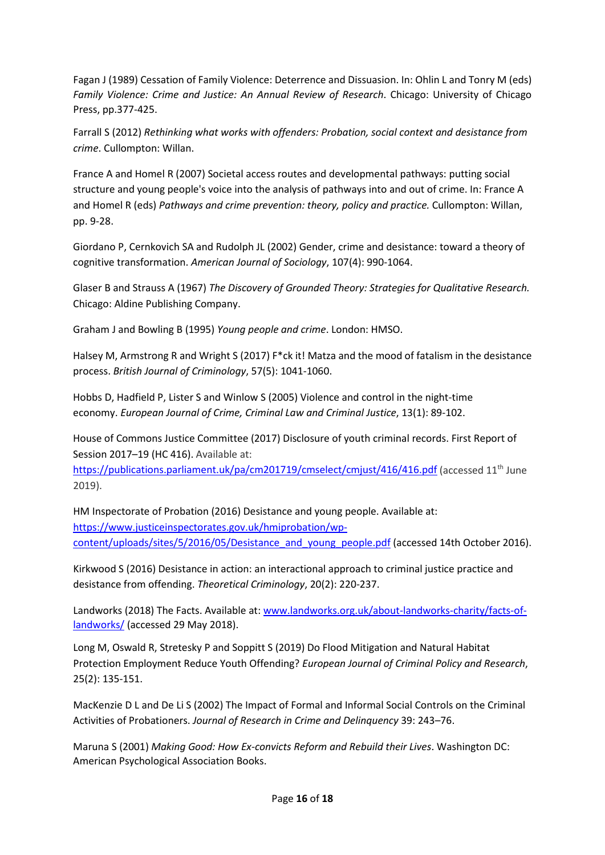Fagan J (1989) Cessation of Family Violence: Deterrence and Dissuasion. In: Ohlin L and Tonry M (eds) *Family Violence: Crime and Justice: An Annual Review of Research*. Chicago: University of Chicago Press, pp.377-425.

Farrall S (2012) *Rethinking what works with offenders: Probation, social context and desistance from crime*. Cullompton: Willan.

France A and Homel R (2007) Societal access routes and developmental pathways: putting social structure and young people's voice into the analysis of pathways into and out of crime. In: France A and Homel R (eds) *Pathways and crime prevention: theory, policy and practice.* Cullompton: Willan, pp. 9-28.

Giordano P, Cernkovich SA and Rudolph JL (2002) Gender, crime and desistance: toward a theory of cognitive transformation. *American Journal of Sociology*, 107(4): 990-1064.

Glaser B and Strauss A (1967) *The Discovery of Grounded Theory: Strategies for Qualitative Research.* Chicago: Aldine Publishing Company.

Graham J and Bowling B (1995) *Young people and crime*. London: HMSO.

Halsey M, Armstrong R and Wright S (2017) F\*ck it! Matza and the mood of fatalism in the desistance process. *British Journal of Criminology*, 57(5): 1041-1060.

Hobbs D, Hadfield P, Lister S and Winlow S (2005) Violence and control in the night-time economy. *European Journal of Crime, Criminal Law and Criminal Justice*, 13(1): 89-102.

House of Commons Justice Committee (2017) Disclosure of youth criminal records. First Report of Session 2017-19 (HC 416). Available at:

<https://publications.parliament.uk/pa/cm201719/cmselect/cmjust/416/416.pdf> (accessed 11<sup>th</sup> June 2019).

HM Inspectorate of Probation (2016) Desistance and young people. Available at: [https://www.justiceinspectorates.gov.uk/hmiprobation/wp](https://www.justiceinspectorates.gov.uk/hmiprobation/wp-content/uploads/sites/5/2016/05/Desistance_and_young_people.pdf)content/uploads/sites/5/2016/05/Desistance and young people.pdf (accessed 14th October 2016).

Kirkwood S (2016) Desistance in action: an interactional approach to criminal justice practice and desistance from offending. *Theoretical Criminology*, 20(2): 220-237.

Landworks (2018) The Facts. Available at: [www.landworks.org.uk/about-landworks-charity/facts-of](http://www.landworks.org.uk/about-landworks-charity/facts-of-landworks/)[landworks/](http://www.landworks.org.uk/about-landworks-charity/facts-of-landworks/) (accessed 29 May 2018).

Long M, Oswald R, Stretesky P and Soppitt S (2019) Do Flood Mitigation and Natural Habitat Protection Employment Reduce Youth Offending? *European Journal of Criminal Policy and Research*, 25(2): 135-151.

MacKenzie D L and De Li S (2002) The Impact of Formal and Informal Social Controls on the Criminal Activities of Probationers. *Journal of Research in Crime and Delinquency* 39: 243–76.

Maruna S (2001) *Making Good: How Ex-convicts Reform and Rebuild their Lives*. Washington DC: American Psychological Association Books.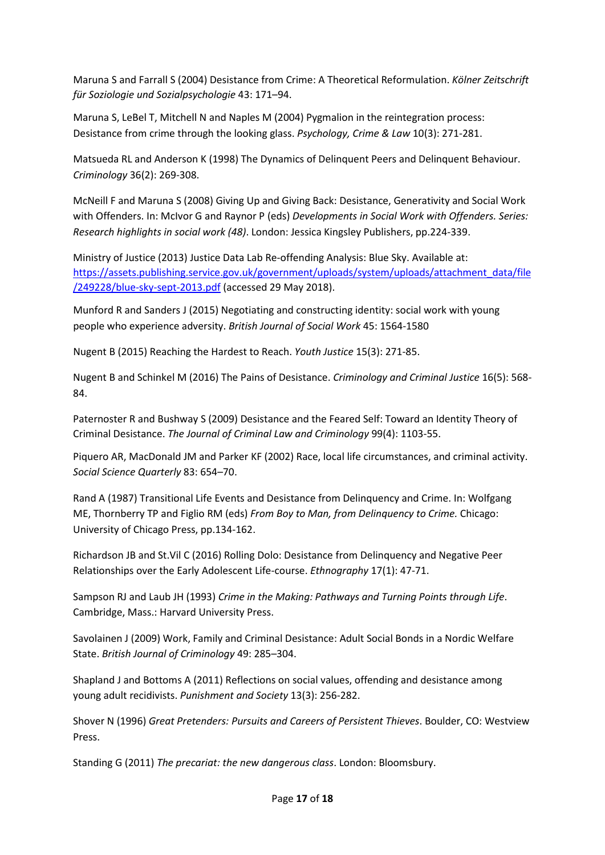Maruna S and Farrall S (2004) Desistance from Crime: A Theoretical Reformulation. *Kölner Zeitschrift für Soziologie und Sozialpsychologie* 43: 171–94.

Maruna S, LeBel T, Mitchell N and Naples M (2004) Pygmalion in the reintegration process: Desistance from crime through the looking glass. *Psychology, Crime & Law* 10(3): 271-281.

Matsueda RL and Anderson K (1998) The Dynamics of Delinquent Peers and Delinquent Behaviour. *Criminology* 36(2): 269-308.

McNeill F and Maruna S (2008) Giving Up and Giving Back: Desistance, Generativity and Social Work with Offenders. In: McIvor G and Raynor P (eds) *Developments in Social Work with Offenders. Series: Research highlights in social work (48)*. London: Jessica Kingsley Publishers, pp.224-339.

Ministry of Justice (2013) Justice Data Lab Re-offending Analysis: Blue Sky. Available at: [https://assets.publishing.service.gov.uk/government/uploads/system/uploads/attachment\\_data/file](https://assets.publishing.service.gov.uk/government/uploads/system/uploads/attachment_data/file/249228/blue-sky-sept-2013.pdf) [/249228/blue-sky-sept-2013.pdf](https://assets.publishing.service.gov.uk/government/uploads/system/uploads/attachment_data/file/249228/blue-sky-sept-2013.pdf) (accessed 29 May 2018).

Munford R and Sanders J (2015) Negotiating and constructing identity: social work with young people who experience adversity. *British Journal of Social Work* 45: 1564-1580

Nugent B (2015) Reaching the Hardest to Reach. *Youth Justice* 15(3): 271-85.

Nugent B and Schinkel M (2016) The Pains of Desistance. *Criminology and Criminal Justice* 16(5): 568- 84.

Paternoster R and Bushway S (2009) Desistance and the Feared Self: Toward an Identity Theory of Criminal Desistance. *The Journal of Criminal Law and Criminology* 99(4): 1103-55.

Piquero AR, MacDonald JM and Parker KF (2002) Race, local life circumstances, and criminal activity. *Social Science Quarterly* 83: 654–70.

Rand A (1987) Transitional Life Events and Desistance from Delinquency and Crime. In: Wolfgang ME, Thornberry TP and Figlio RM (eds) *From Boy to Man, from Delinquency to Crime.* Chicago: University of Chicago Press, pp.134-162.

Richardson JB and St.Vil C (2016) Rolling Dolo: Desistance from Delinquency and Negative Peer Relationships over the Early Adolescent Life-course. *Ethnography* 17(1): 47-71.

Sampson RJ and Laub JH (1993) *Crime in the Making: Pathways and Turning Points through Life*. Cambridge, Mass.: Harvard University Press.

Savolainen J (2009) Work, Family and Criminal Desistance: Adult Social Bonds in a Nordic Welfare State. *British Journal of Criminology* 49: 285–304.

Shapland J and Bottoms A (2011) Reflections on social values, offending and desistance among young adult recidivists. *Punishment and Society* 13(3): 256-282.

Shover N (1996) *Great Pretenders: Pursuits and Careers of Persistent Thieves*. Boulder, CO: Westview Press.

Standing G (2011) *The precariat: the new dangerous class*. London: Bloomsbury.